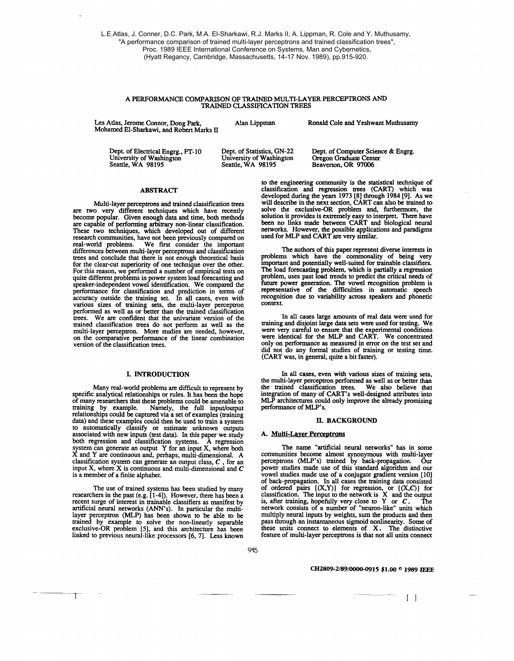L.E.Atlas, J. Conner, D.C. Park, M.A. El-Sharkawi, R.J. Marks II, A. Lippman, R. Cole and Y. Muthusamy, "A performance comparison of trained multi-layer perceptrons and trained classification trees", Proc. 1989 IEEE International Conference on Systems, Man and Cybernetics, (Hyatt Regancy, Cambridge, Massachusetts, 14-17 Nov. 1989), pp.915-920.

# A PERFORMANCE COMPARISON OF TRAINED MULTI-LAYER PERCEPTRONS **AND**  TRAINED CLASSIFICATION TREES

Les Atlas, **Jerome** Connor, Dong Park, Alan Lippman Ronald Cole and Yeshwant Muthusamy Mohamed El-Sharkawi, and Robert Marks **II** 

University of Washington University of Washington Oregon Graduate Center Seattle, WA **98195** Seattle, WA **98195** Beaverton, OR **97006** 

Dept. of Electrical Engrg., FT-10 Dept. of Statistics, GN-22 Dept. of Computer Science & Engrg.<br>
University of Washington University of Washington Oregon Graduate Center<br>
Seattle, WA 98195 Seattle, WA 98195 Beaverton, OR 9

#### **ABSTRACT**

Multi-layer perceptrons and **trained** classification trees are two very different techniques which have recently become popuiar. Given enough data and time, both methods are capable of performing arbitrary non-linear classification. These two techniques, which developed out of different research communities, have not been previously compared on real-world problems. We **first** consider the important differences between multi-layer perceptrons and classification trees and conclude that there is not enough theoretical basis for the clear-cut superiority of one technique over the other.<br>For this reason, we performed a number of empirical tests on quite different problems in power system load forecasting and speaker-independent vowel identification. We compared the performance for classification and prediction in terms of accuracy outside the training set. In all cases, even with various sizes of training **sets,** the multi-layer perceptron performed as well as or better than the trained classification trees. We **are** confident that the univariate version of the trained classification trees do not perform as well as the multi-layer perceptron. More studies are needed, however, on the comparative performance of the linear combination version of the classification trees.

# **I. INTRODUCTION**

Many real-world problems **are** difficult to represent by specific analytical relationships or rules. It has been the hope of many researchers that these problems could be amenable to training by example. Namely, the full input/output relationships could be captured via a set of examples (training data) and these examples could then be used to train a system to automatically classify or estimate unknown outputs associated with new inputs (test data). In this paper we study both regression and classification systems. A regression system can generate an output Y for an input X, where both X and Y **are** continuous and, perhaps, multi-dimensional. A A and I are continuous and, perhaps, multi-dimensional. A classification system can generate an output class,  $C$ , for an input X, where X is continuous and multi-dimensional and  $C$  is a member of a finite alphabet.

The use of trained systems has been studied by many researchers in the past (e.g. **[I-41).** However, there has been a recent surge of interest in trainable classifiers as manifest by artificial neural networks (ANN'S). In particular the multi-layer perceptron (MLP) has been shown to be able to be trained by example to solve the non-linearly separable exclusive-OR problem **[S],** and this architecture has been linked to previous neural-like processors [6, **71.** Less known

to the engineering community is the statistical technique of classification and regression trees (CART) which was developed during the years **1973 [8]** through **1984 [9].** As we **will** describe in the next section, CART can also be trained to solve the exclusive-OR problem and, furthermore, the solution it provides is extremely easy to interpret. There have been no **links** made between CART and biological neural networks. However, the possible applications and paradigms used for MLP and CART **are** very similar.

The authors of this paper represent diverse interests in problems which have the commonality of beiig very important and potentially well-suited for trainable classifiers. The load forecasting problem, which is partially a regression problem, uses past load trends to predict the critical needs of future power generation. The vowel recognition problem is representative of the difficulties in automatic speech **recognition** due to variability across speakers and phonetic context.

In all cases large amounts of real data were used for training and disjoint large data sets were used for testing. We were very careful to ensure that the experimental conditions were identical for the MLP and CART. We concentrated only on performance as measured in error on the test set and did not do any formal studies of training or testing time. (CART was, in general, quite a bit faster).

In all cases, even with various sizes of training sets, the multi-layer perceptron performed as well as or better than the trained classification trees. We also believe that the trained classification trees. We also believe that integration of many of CART'S well-designed attributes into MLP architectures could only improve the already promising performance of MLP's.

# **11. BACKGROUND**

#### **A. Multi-Layer Perceptrons**

The name "artificial neural networks" has in some communities become almost synonymous with multi-layer perceptrons (MLP's) trained by back-propagation. Our power studies made use of this standard algorithm and our power studies made use of this standard algorithm and our vowel studies made use of a conjugate gradient version **[lo]**  of back-propagation. In all cases the training data consisted<br>of ordered pairs  $\{(X,Y)\}$  for regression, or  $\{(X,C)\}$  for<br>classification. The input to the network is X and the output<br>is, after training, hopefully very close multiply neural inputs by weights, sum the products and then pass through an instantaneous sigmoid nonlinearity. Some of these units connect to elements of X. The distinctive feature of multi-layer perceptrons is that not all units connect

**CH2809-2/89/0000-0915 \$1.00 1989 IEEE** 

 $\vert \ \vert$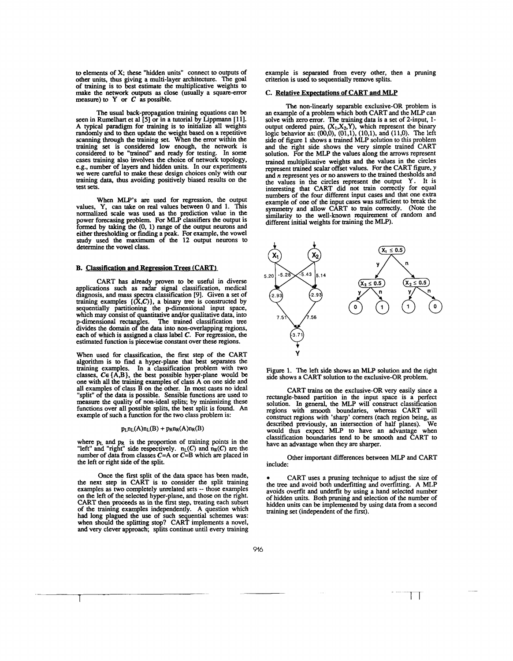to elements of **X,** these "hidden units" connect to outputs of other units, thus giving a multi-layer architecture. The goal of training is to best estimate the multiplicative weights to make the network outputs as close (usually a square-error measure) to  $Y$  or  $C$  as possible.

The usual back-propagation training equations can be seen in Rumelhart et al **[S]** or in a tutorial by Lippmann [ll]. A typical paradigm for training is to initialize all weights randomly and to then update the weight based on a repetitive scanning through the training set. When the error within the training set is considered low enough, the network is considered to be "trained" and ready for testing. In some cases training also involves **thc** choice of network topology, e.g., number of layers and hidden units. In our experiments we were careful to make these design choices only with our training data, thus avoiding positively biased results on the test sets.

When MLP's are used for regression, the output values, Y, can take on real values between 0 and 1. This normalized scale was used as the prediction value in the power forecasing problem. For MLP classifiers the output is formed by taking the (0, 1) range of the output neurons and either thresholding or finding a peak. For example, the vowel study used the maximum of the 12 output neurons to determine the vowel class.

# **B.** Classification and Regression Trees (CART)

CART has already proven to be useful in diverse applications such as radar signal classification, medical diagnosis, and mass spectra classification **[9].** Given a set of training examples **((X,C)),** a binary tree is constructed by sequentially partitioning the p-dimensional input space, which may consist of quantitative and/or qualitative data, into p-dimensional rectangles. The trained classification tree divides the **domain** of the data into non-overlapping regions, each of which is assigned a class label  $C$ . For regression, the estimated function is piecewise constant over these regions.

When used for classification, the first step of the CART algorithm is to find a hyper-plane that best separates the training examples. In a classification problem with two classes,  $C \in \{A, B\}$ , the best possible hyper-plane would be one with all the training examples of class A on one side and All examples of class B on the other. In most cases no ideal<br>"split" of the data is possible. Sensible functions are used to measure the quality of non-ideal splits; by minimizing these functions over all possible splits, the best split is found. An example of such a function for the two class problem is:

# $p_L n_L(A) n_L(B) + p_R n_R(A) n_R(B)$

where  $p_L$  and  $p_R$  is the proportion of training points in the "left" and "right" side respectively.  $n_L(C)$  and  $n_R(C)$  are the number of data from classes  $C=A$  or  $C=B$  which are placed in the left or right side of the split.

Once the first split of the data space has been made, the next step in CART is to consider the split training examples as two completely unrelated sets -- those examples on the left of the selected hyper-plane, and those on the right. CART then proceeds as in the first step, treating each subset of the training examples independently. A question which had long plagued the use of such sequential schemes was: when should the splitting stop? CART implements a novel, and very clever approach; splits continue until every training

T

example is separated from every other, then a pruning criterion is used to sequentially remove splits.

# **C. Relative Expectations of CART and MLP**

The non-linearly separable exclusive-OR problem is<br>an example of a problem which both CART and the MLP can<br>solve with zero error. The training data is a set of 2-input, 1-<br>output ordered pairs,  $(X_1, X_2, Y)$ , which represe side of **figure** 1 shows a trained MLP solution to this problem and the right side shows the very simple trained CART solution. For the **MLP** the values along the arrows represent trained multiplicative weights and the values in the circles represent trained scalar offset values. For the CART figure, y and **n** represent yes or no answers to the trained thesholds and the values in the circles represent the output Y. It is interesting that CART did not train correctly for equal numbers of the four different input cases and that one extra example of one of the input cases was sufficient to break the symmetry and allow CART to train correctly. (Note the similarity to the well-known requirement of random and different initial weights for training the MLP).





CART trains on the exclusive-OR very easily since a rectangle-based partition in the input space is a perfect solution. In general, the **MLP** will construct classification regions with smooth boundaries, whereas CART will construct regions with 'sharp' comers (each region being, as described previously, an intersection of half planes). We would thus expect MLP to have an advantage when classification boundaries tend to be smooth and CART to have an advantage when they are sharper.

Other important differences between MLP and CART include:

CART uses a pruning technique to adjust the size of the tree and avoid both underfitting and overfitting. A MLP avoids ovefit and underfit by using a hand selected number of hidden units. Both pruning and selection of the number of hidden units can be implemented by using data from a second training set (independent of the first).

 $\Box$ 

916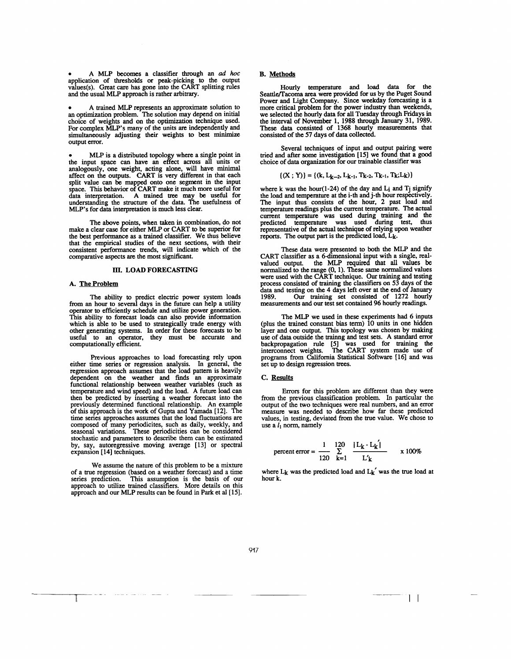A MLP becomes a classifier through an ad *hoc*  application of thresholds or peak-picking to the output values(s). Great care has gone into the CART splitting rules and the usual MLP approach is rather arbitrary.

A trained **MLP** represents an approximate solution to an optimization problem. The solution may depend on initial choice of weights and on the optimization technique used. For complex MLP's many of the units are independently and simultaneously adjusting their weights to best minimize output error.

• MLP is a distributed topology where a single point in the input space can have an effect across all units or the input space can have an effect across all units or analogously, one weight, acting alone, will have minimal affect on the outputs. CART is very different in that each split value can be mapped onto one segment in the input space. This behavior of CART make it much more useful for data interpretation. A trained **tree** may be useful for understanding the structure of the data. The usefulness of MLP's for data interpretation is much less clear.

The above points, when taken in combination, do not make a clear case for either **MLP** or CART to be superior for the best performance as a trained classifier. We thus believe that the empirical studies of the next sections, with their consistent performance trends, will indicate which of the comparative aspects are the most significant.

#### **III. LOAD FORECASTING**

#### **A. The Problem**

The ability to predict electric power system loads from an hour to several days in the future can help a utility operator to efficiently schedule and utilize power generation. This ability to forecast loads can also provide information which is able to be used to strategically trade energy with other generating systems. In order for these forecasts to be useful to an operator, they must be accurate and computationally efficient.

Previous approaches to load forecasting rely upon either time series or regression analysis. In general, the regression approach assumes that the load pattern is heavily dependent on the weather and **finds** an approximate functional relationship between weather variables (such as<br>temperature and wind speed) and the load. A future load can<br>then be predicted by inserting a weather forecast into the<br>previously determined functional relationshi of this approach is the work of Gupta and Yamada [12]. The time series approaches assumes that the load fluctuations are composed of many periodicites, such as daily, weekly, and seasonal variations. These periodicities can be considered stochastic and parameters to describe them can be estimated by, say, autoregressive moving average [13] or spectral expansion [14] techniques.

We assume the nature of this problem to be a mixture of a true regression (based on a weather forecast) and a time series prediction. This assumption is the basis of our approach to utilize trained classifiers. More details on this approach and our MLP results can be found in Park et al [15].

# **B. Methods**

Hourly temperature and load data for the Seattle/Tacoma area were provided for us by the Puget Sound<br>Power and Light Company. Since weekday forecasting is a more critical problem for the power industry than weekends, we selected the hourly data for all Tuesday through Fridays in the interval of November 1, 1988 through January 31. 1989. These data consisted of 1368 hourly measurements that consisted of the 57 days of data collected.

Several techniques of input and output pairing were tried and after **some** investigation [15] we found that a good choice of data organization for our trainable classifier was

$$
\{(X ; Y)\} = \{(k, L_{k-2}, L_{k-1}, T_{k-2}, T_{k-1}, T_k; L_k)\}
$$

where  $k$  was the hour(1-24) of the day and  $L_i$  and  $T_j$  signify the load and temperature at the i-th and j-th hour respectively. The input thus consists of the hour, 2 past load and temperature readings plus the current temperature. The actual current temperature was used during training and the predicted temperature was used during test, thus representative of the actual technique of relying upon weather reports. The output part is the predicted load, Lk.

These data were presented to both the **MLP** and the CART classifier as a 6-dimensional input with a single, realvalued output. the **MLP** required that **all** values be normalized to the range **(0,** 1). These same normalized values were used with the CART technique. Our training and testing process consisted of training the classifiers on 53 days of the data and testing on the 4 days left over at the end of January 1989. Our training set consisted of 1272 hourly measurements and our test set contained 96 hourly readings.

The **MLP** we used in these experiments had 6 inputs (plus the trained constant bias term) 10 units in one hidden layer and one output. This topology was chosen by making layer and one output. This topology was chosen by making use of data outside the trainng and test sets. A standard error backpropagation rule [S] was used for training the interconnect weights. The CART system made use of programs from California Statistical Software [16] and was set up to design regression trees.

# **C. Results**

Errors for this problem are different than they were from the previous classification problem. In particular the output of the two techniques were real numbers, and an error measure was needed to describe how far these predicted values, in testing, deviated from the true value. We chose to use a  $l_1$  norm, namely

$$
h l_1 \text{ norm, namely}
$$
\n
$$
\text{percent error} = \frac{1}{120} \sum_{k=1}^{120} \frac{|L_k - L_k'|}{L'_k} \qquad x \text{ 100\%}
$$

where  $L_k$  was the predicted load and  $L_k'$  was the true load at hour k.

917

 $\perp$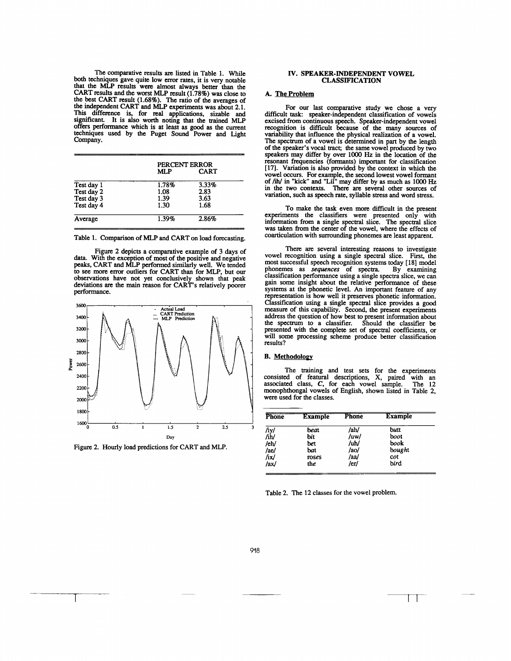The comparative results are listed in Table 1. While both techniques gave quite low error rates, it is very notable that the MLP results were almost always better than the CART results and the wurst MLP result (1.78%) was close to the best CART result (1.68%). The ratio of the averages of the independent CART and MLP experiments was about 2.1. This difference is, for real applications, sizable and significant. It is also worth noting that the trained MLP offers performance which is at least as good as the current techniques used by the Puget Sound Power and Light Company.

|            | PERCENT ERROR |             |
|------------|---------------|-------------|
|            | MLP           | <b>CART</b> |
| Test day 1 | 1.78%         | 3.33%       |
| Test day 2 | 1.08          | 2.83        |
| Test day 3 | 1.39          | 3.63        |
| Test day 4 | 1.30          | 1.68        |
| Average    | 1.39%         | 2.86%       |

Table 1. Comparison of **MLP** and CART on load forecasting.

Figure 2 depicts a comparative example of 3 days of data. With the exception of most of the positive and negative peaks, CART and **MLP** performed similarly well. We tended to see more error outliers for CART than for MLP, but our observations have not yet conclusively shown that peak deviations are the main reason for CART'S relatively poorer performance.



Figure 2. Hourly load predictions for CART and MLP.

#### **IV.** SPEAKER-INDEPENDENT VOWEL CLASSIFICATION

# A. The Problem

For our last comparative study we chose a very difficult **task:** speaker-independent classification of vowels excised from continuous speech. Speaker-independent vowel recognition is difficult because of the many sources of variability that influence the physical realization of a vowel. The spectrum of a vowel is determined in part by the length of the speaker's vocal tract; the same vowel produced by two speakers may differ by over 1000 Hz in the location of the resonant frequencies (formants) important for classification [17]. Variation is also provided by the context in which the vowel occurs. For example, the second lowest vowel formant of *f*ih/ in "kick" and "Lil" may differ by as much as 1000 Hz in the two contexts. There are several other sources of variation, such as speech rate, syllable stress and word stress.

To make the task even more difficult in the present experiments the classifiers were presented only with information from a single spectral slice. The spectral slice was taken from the center of the vowel, where the effects of coarticulation with surrounding phonemes are least apparent.

There are several interesting reasons to investigate vowel recognition using a single spectral slice. First, the most successful speech recognition systems today [18] model phonemes as *sequences* of spectra. By examining classification performance using a single spectra slice, we can gain some insight about the relative performance of these gain some insight about the relative performance of these systems at the phonetic level. An important feature of any representation is how well it preserves phonetic information. Classification using a single spectral slice provides a good measure of this capability. Second, the present experiments address the question of how best to present information about the spectrum to a classifier. Should the classifier be presented with the complete set of spectral coefficients, or will some processing scheme produce better classification results?

#### B. Methodology

The training and test sets for the experiments Ine training and was also its and structure consisted of featural descriptions, X, paired with an associated class. C, for each vowel sample. The 12  $\frac{1}{2}$  associated class, C, for each vowel sample. The 12 monophthongal vowels of English, shown listed in Table 2, were used for the classes.

| Phone | <b>Example</b> | <b>Phone</b> | <b>Example</b> |
|-------|----------------|--------------|----------------|
| /iy/  | beat           | /ah/         | butt           |
| /ih   | bit            | /uw/         | boot           |
| /eh/  | bet            | /uh/         | book           |
| /ae/  | bat            | /ao/         | bought         |
| /ix/  | roses          | /aa/         | cot            |
| /ax/  | the            | /er/         | bird           |

 $\Box$ 

Table 2. The 12 classes for the vowel problem.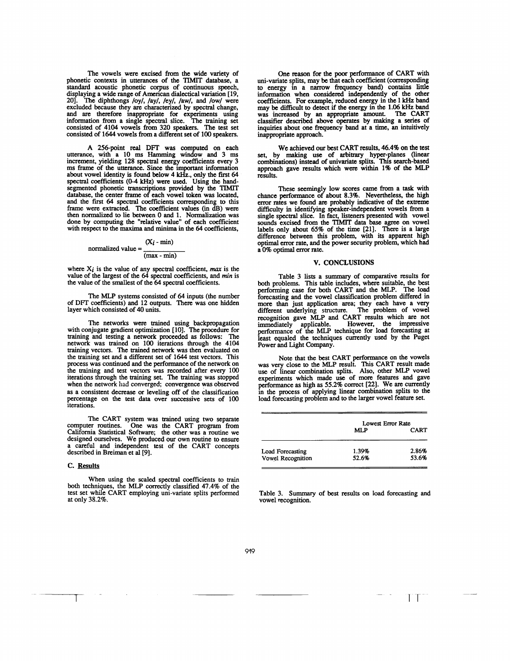The vowels were excised from the wide variety of phonetic contexts in utterances of the TIMIT database, a standard acoustic phonetic corpus of continuous speech, displaying a wide range of American dialectical variation **[19,**  20]. The diphthongs *loyl, layl, leyl, lawl*, and *low/* were excluded because they are characterized by spectral change, and are therefore inappropriate for experiments using information from a single spectral slice. The training set consisted of **4104** vowels from **320** speakers. The test set consisted of **1644** vowels from a different set of **100** speakers.

A 256-point real **DFT** was computed on each utterance, with a **10 ms** Hamming window and **<sup>3</sup>**ms increment, yielding **<sup>128</sup>**spectral energy coefficients every **3** ms frame of the utterance. Since the impmant information about vowel identity is found below **4 kHz.,** only the first 64 spectral coefficients (0-4 **kHz)** were used. Using the hand-segmented phonetic transcriptions provided by the TIMIT database, the center frame of each vowel token was located, and the first 64 spectral coefficients corresponding to this frame were extracted. The coefficient values (in dB) were then normalized to lie between **<sup>0</sup>**and **1.** Normalization was done by computing the "relative value" of each coefficient with respect to the maxima and minima in the 64 coefficients.

# $normalized value = \frac{(X_i - min)}{n}$ (max - min)

where  $X_i$  is the value of any spectral coefficient,  $max$  is the value of the largest of the 64 spectral coefficients, and **min** is the value of the smallest of the 64 spectral coefficients.

The **MLP** systems consisted of 64 inputs (the number of **DFT** coefficients) and **12** outputs. There was one hidden layer which consisted of **40** units.

The networks were trained using backpropagation with conjugate gradient optimization **[lo].** The procedure for training and testing a network proceeded as follows: The network was trained on **100** iterations through the **4104**  the training set and a different set of 1644 test vectors. This process was continued and the performance of the network on the training and test vectors was recorded after every 100 iterations through the training set. The training was stopped when the network had converged; convergence was observed as a consistent decrease or leveling off of the classification percentage on the test data over successive sets of **100**  iterations.

The CART system was trained using two separate computer routines. One was the CART program from California Statistical Software; the other was a routine we California Statistical Software; the other was a routine we designed ourselves. We produced our own routine to ensure a careful and independent test of the CART concepts described in Breirnan et al[9].

# **C. Results**

When using the scaled spectral coefficients to train both techniques, the MLP correctly classified 47.4% of the test set while CART employing uni-variate splits performed at only **38.2%.** 

One reason for the **poor** performance of CART with uni-variate splits, may be that each coefficient (corresponding to energy in a narrow frequency band) contains little information when considered independently of the other coefficients. **For** example, reduced energy in the 1 kHz band may be mcult to detect if the energy in the **1.06 kHz** band was increased by **an** appropriate amount. The CART classifier described above operates by making a series of inquiries about one frequency band at a **time,** an intuitively inappropriate approach.

We achieved our best CART results, 46.4% on the test set, by making use of arbitrary hyper-planes **(linear**  combinations) instead of univariate splits. This search-based approach gave results which were within 1% of the MLP results.

These seemingly low scores came from a task with chance performance of about **8.3%.** Nevertheless, the high error rates we found are probably indicative of the extreme difficulty in identifying speaker-independent vowels from a single spectral slice. In fact, listeners presented with vowel sounds excised from the TIMIT data **base** agree on vowel labels only about 65% of the time **[21].** There is a large difference between this problem, with its apparent high optimal error rate, and the power security problem, which had a **0%** optimal error rate.

# **V. CONCLUSIONS**

Table **3** lists a summary of comparative results for both problems. This table includes, where suitable, the best performing case for both CART and the **MLP.** The load forecasting and the vowel classification problem differed in more than just application area; they each have a very different underlying structure. The problem of vowel recognition gave MLP and CART results which are not immediately applicable. However, the impressive performance of the **MLP** technique for load forecasting at least equaled the techniques currently used by the Puget Power and Light Company.

Note that the best CART performance on the vowels was very close to the MLP result. This CART result made use of linear combination splits. Also, other **MLP** vowel experiments which made use of more features and gave performance as high as 55.2% correct **[22].** We are currently in the process of applying linear combination splits to the load forecasting problem and to the larger vowel feature set.

|                   | Lowest Error Rate |             |  |
|-------------------|-------------------|-------------|--|
|                   | MLP               | <b>CART</b> |  |
| Load Forecasting  | 1.39%             | 2.86%       |  |
| Vowel Recognition | 52.6%             | 53.6%       |  |

Table **3. Summary** of best results on load forecasting and vowel recognition.

 $TT$